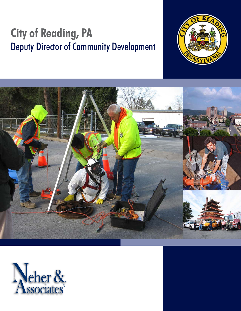# **City of Reading, PA** Deputy Director of Community Development





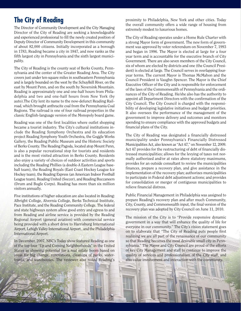## **The City of Reading**

The Director of Community Development and the City Managing Director of the City of Reading are seeking a knowledgeable and experienced professional to fill the newly created position of Deputy Director of Community Development in this community of about 82,000 citizens. Initially incorporated as a borough in 1783, Reading became a city in 1847, and now ranks as the fifth largest city in Pennsylvania and the sixth largest municipality.

The City of Reading is the county seat of Berks County, Pennsylvania and the center of the Greater Reading Area. The City covers just under ten-square miles in southeastern Pennsylvania and is largely bounded on the west by the Schuylkill River, on the east by Mount Penn, and on the south by Neversink Mountain. Reading is approximately one and one-half hours from Philadelphia and two and one-half hours from New York (by auto).The City lent its name to the now-defunct Reading Railroad, which brought anthracite coal from the Pennsylvania Coal Regions. The railroad is one of four railroad properties in the classic English-language version of the Monopoly board game.

Reading was one of the first localities where outlet shopping became a tourist industry. The City's cultural institutions include the Reading Symphony Orchestra and its education project Reading Symphony Youth Orchestra, the Goggle Works Gallery, the Reading Public Museum and the Historic Society of Berks County. The Reading Pagoda, located atop Mount Penn, is also a popular recreational stop for tourists and residents and is the most visited attraction in Berks County. Residents also enjoy a variety of choices of outdoor activities and sports including the Reading Phillies (a double-A Eastern League baseball team), the Reading Royals (East Coast Hockey League Ice Hockey team), the Reading Express (an American Indoor Football League team), Reading United (Soccer), and Reading Buccaneers (Drum and Bugle Corps). Reading has more than six million visitors annually.

Five institutions of higher education are also located in Reading: Albright College, Alvernia College, Berks Technical Institute, Pace Institute, and the Reading Community College. The federal and state highways system allow good entry and egress to and from Reading and airline service is provided by the Reading Regional Airport (general aviation) with commercial service being provided with a short drive to Harrisburg International Airport, Lehigh Valley International Airport , and the Philadelphia International Airport.

In December, 2007, NBC's Today show featured Reading as one of the top four "Up and Coming Neighborhoods" in the United States as showing potential for a real estate boom based on areas for big change, renovations, cleanups of parks, waterfronts, and warehouses. The reviewer also noted Reading's

proximity to Philadelphia, New York and other cities. Today the overall community offers a wide range of housing from extremely modest to luxurious homes.

The City of Reading operates under a Home Rule Charter with a strong Mayor form of government. The new form of government was approved by voter referendum on November 7, 1993 and began in 1996. The Mayor is elected at large for a four year term and is accountable for the executive branch of City Government. There are also seven members of the City Council, six of whom are elected by districts and one (the Council President) is elected at large. The Council serves in overlapping fouryear terms. The current Mayor is Thomas McMahon and the Council President is Vaughn Spencer. The Mayor is the Chief Executive Officer of the City and is responsible for enforcement of the laws of the Commonwealth of Pennsylvania and the ordinances of the City of Reading. He/she also has the authority to appoint all Department Directors with the confirmation of the City Council. The City Council is charged with the responsibility of developing legislative initiatives and budget priorities. It also oversees the performance of the management of the government to improve delivery and outcomes and monitors spending to ensure compliance with the approved budgets and financial plans of the City.

The City of Reading was designated a financially distressed municipality under Pennsylvania's Financially Distressed Municipalities Act, also known as "Act 47," on November 12, 2009. Act 47 provides for the restructuring of debt of financially distressed municipalities; allows for the levying of taxes not normally authorized and/or at rates above statutory maximums, provides for an outside consultant to review the municipalities finances, prepare a recovery plan, and give assistance in the implementation of the recovery plan; authorizes municipalities to participate in Federal debt adjustment actions; and provides for consolidation or merger of contiguous municipalities to relieve financial distress.

Public Financial Management in Philadelphia was assigned to prepare Reading's recovery plan and after much Community, City, County, and Commonwealth input, the final version of the recovery plan was adopted by City Council on June 11, 2010.

The mission of the City is to "Provide responsive dynamic government in a way that will enhance the quality of life for everyone in our community." The City's vision statement goes on to elaborate that "The City of Reading puts people first realizing we are all part of the renaissance of our community so that Reading becomes the most desirable small city in Pennsylvania." The Mayor and City Council are proud of the efforts of key City Management and staff to continue to improve the quality of services and professionalism of the City staff, and also value involvement and interaction with the community.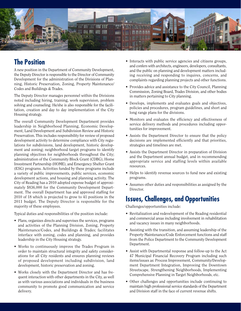

## **The Position**

A new position in the Department of Community Development, the Deputy Director is responsible to the Director of Community Development for the administration of the Divisions of Planning, Historic Preservation, Zoning, Property Maintenance/ Codes and Buildings & Trades.

The Deputy Director manages personnel within the Divisions noted including hiring, training, work supervision, problem solving and counseling. He/she is also responsible for the facilitation, creation and day to day implementation of the City Housing strategy.

The overall Community Development Department provides leadership in Neighborhood Planning, Economic Development, Land Development and Subdivision Review and Historic Preservation. This includes responsibility for review of proposed development activity to determine compliance with City regulations for subdivisions, land development, historic development and zoning; neighborhood target programs to identify planning objectives for neighborhoods throughout the City; administration of the Community Block Grant (CDBG), Home Investment Partnership (HOME), and Emergency Shelter Grant (ESG) programs. Activities funded by these programs include a variety of public improvements, public services, economic development actions, and housing and planning activity. The City of Reading has a 2010 adopted expense budget of approximately \$836,000 for the Community Development Department. The overall Department has and approved staffing for 2010 of 18 which is projected to grow to 41 positions in the 2011 budget. The Deputy Director is responsible for the majority of these employees.

Typical duties and responsibilities of the position include:

- Plans, organizes directs and supervises the services, programs and activities of the Planning Division, Zoning, Property Maintenance/Codes, and Buildings & Trades; facilitates interface with zoning, codes and planning, and provides leadership in the City Housing strategy.
- Works to continuously improve the Trades Program in order to maintain structural integrity and safety considerations for all City residents and ensures planning reviews of proposed development including subdivision, land development, historic preservation and zoning.
- Works closely with the Department Director and has frequent interaction with other departments in the City, as well as with various associations and individuals in the business community to promote good communication and service delivery.
- Interacts with public service agencies and citizens groups, and confers with architects, engineers, developers, consultants, and the public on planning and development matters including receiving and responding to inquires, concerns, and complaints regarding planning projects and other functions.
- Provides advice and assistance to the City Council, Planning Commission, Zoning Board, Trades Division, and other bodies in matters pertaining to City planning.
- Develops, implements and evaluates goals and objectives, policies and procedures, program guidelines, and short and long range plans for the divisions.
- Monitors and evaluates the efficiency and effectiveness of service delivery methods and procedures including opportunities for improvement.
- Assists the Department Director to ensure that the policy decisions are implemented efficiently and that priorities, strategies and timelines are met.
- Assists the Department Director in preparation of Division and the Department annual budget, and in recommending appropriate service and staffing levels within available resources.
- Helps to identify revenue sources to fund new and existing programs.
- Assumes other duties and responsibilities as assigned by the Director.

## **Issues, Challenges, and Opportunities**

Challenges/opportunities include:

- Revitalization and redevelopment of the Reading residential and commercial areas including involvement in rehabilitation and vacancy issues in many neighborhoods.
- Assisting with the transition, and assuming leadership of the Property Maintenance/Code Enforcement functions and staff from the Police Department to the Community Development Department.
- Assist with Departmental response and follow-up to the Act 47 Municipal Financial Recovery Program including such items/issues as: Process Improvement, Community/Development Department Integration, Improving the Downtown Streetscape, Strengthening Neighborhoods, Implementing Comprehensive Planning in Target Neighborhoods, etc.
- Other challenges and opportunities include continuing to maintain high professional service standards of the Department and Division staff in the face of current revenue shifts.